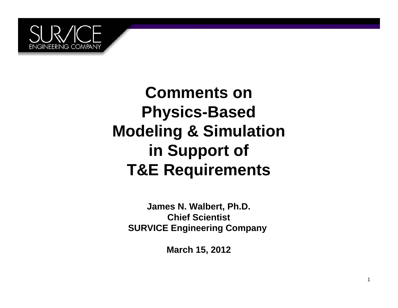

**Comments onPhysics-Based Modeling & Simulation in Support of T&E Requirements**

**James N. Walbert, Ph.D. Chief ScientistSURVICE Engineering Company**

**March 15, 2012**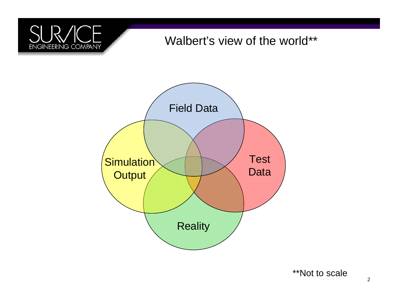# ENGINEERING COMPANY

#### Walbert's view of the world\*\*



\*\*Not to scale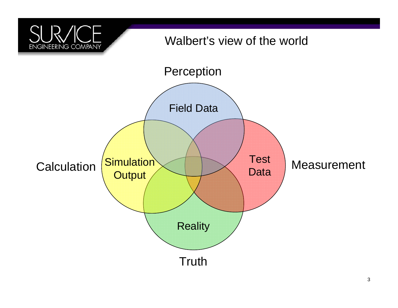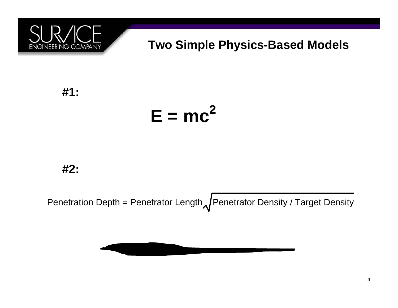

#### **Two Simple Physics-Based Models**

**#1:**

#### **E = mc2**

**#2:**

Penetration Depth = Penetrator Length $\sqrt{P}$ enetrator Density / Target Density

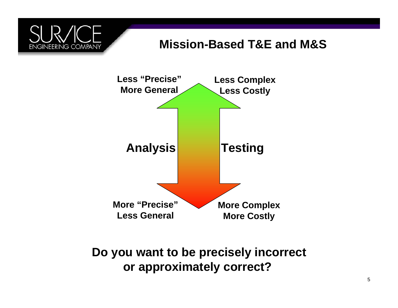

#### **Mission-Based T&E and M&S**



**Do you want to be precisely incorrect or approximately correct?**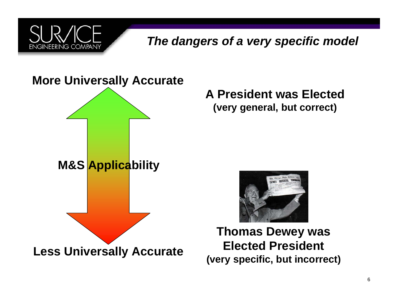

#### *The dangers of a very specific model*

#### **More Universally Accurate**



**A President was Elected(very general, but correct)**



**Thomas Dewey was Elected President(very specific, but incorrect)**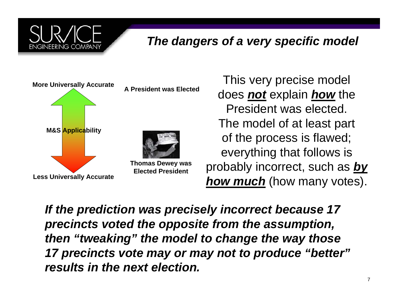

#### *The dangers of a very specific model*



This very precise model does *not* explain *how* the President was elected. The model of at least part of the process is flawed; everything that follows is probably incorrect, such as *by* **how much** (how many votes).

*If the prediction was precisely incorrect because 17 precincts voted the opposite from the assumption, then "tweaking" the model to change the way those 17 precincts vote may or may not to produce "better" results in the next election.*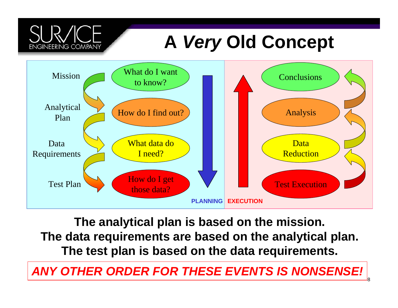# **A** *Very* **Old Concept**



**ENGINEERING COMPANY** 

**The analytical plan is based on the mission. The data requirements are based on the analytical plan. The test plan is based on the data requirements.**

#### *ANY OTHER ORDER FOR THESE EVENTS IS NONSENSE!*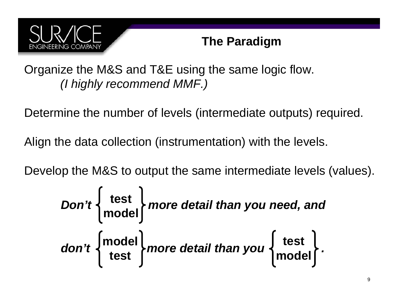

#### **The Paradigm**

Organize the M&S and T&E using the same logic flow. *(I highly recommend MMF.)*

Determine the number of levels (intermediate outputs) required.

Align the data collection (instrumentation) with the levels.

Develop the M&S to output the same intermediate levels (values).

$$
Don't \begin{Bmatrix} test \\ model \\ model \end{Bmatrix} more detail than you need, anddon't {model} more detail than you { test} model}.
$$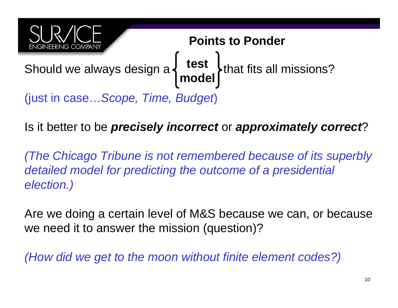

Is it better to be *precisely incorrect* or *approximately correct*?

*(The Chicago Tribune is not remembered because of its superbly detailed model for predicting the outcome of a presidential election.)*

Are we doing a certain level of M&S because we can, or because we need it to answer the mission (question)?

*(How did we get to the moon without finite element codes?)*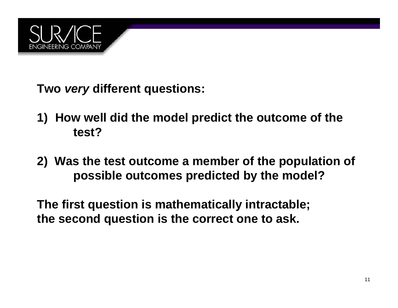

**Two** *very* **different questions:**

- **1) How well did the model predict the outcome of the test?**
- **2) Was the test outcome a member of the population of possible outcomes predicted by the model?**

**The first question is mathematically intractable; the second question is the correct one to ask.**